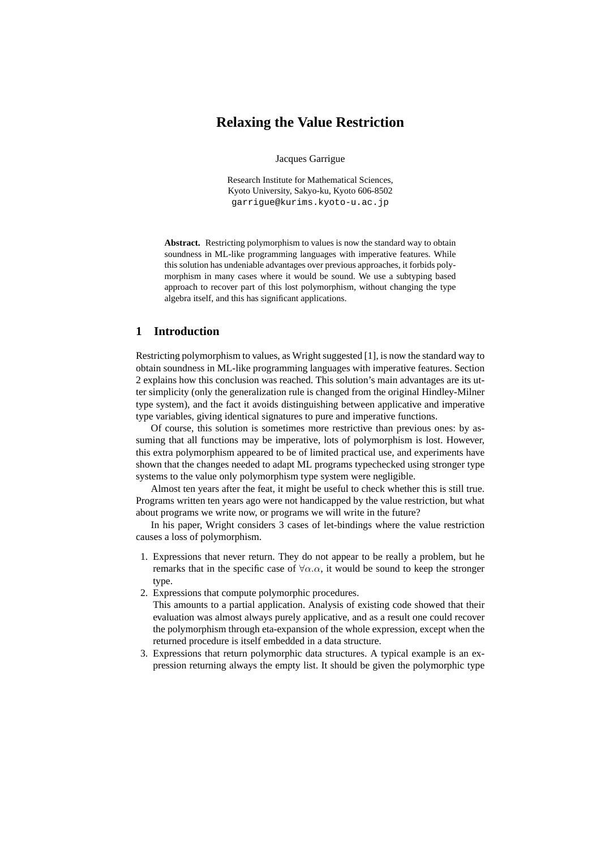# **Relaxing the Value Restriction**

Jacques Garrigue

Research Institute for Mathematical Sciences, Kyoto University, Sakyo-ku, Kyoto 606-8502 garrigue@kurims.kyoto-u.ac.jp

**Abstract.** Restricting polymorphism to values is now the standard way to obtain soundness in ML-like programming languages with imperative features. While this solution has undeniable advantages over previous approaches, it forbids polymorphism in many cases where it would be sound. We use a subtyping based approach to recover part of this lost polymorphism, without changing the type algebra itself, and this has significant applications.

## **1 Introduction**

Restricting polymorphism to values, as Wright suggested [1], is now the standard way to obtain soundness in ML-like programming languages with imperative features. Section 2 explains how this conclusion was reached. This solution's main advantages are its utter simplicity (only the generalization rule is changed from the original Hindley-Milner type system), and the fact it avoids distinguishing between applicative and imperative type variables, giving identical signatures to pure and imperative functions.

Of course, this solution is sometimes more restrictive than previous ones: by assuming that all functions may be imperative, lots of polymorphism is lost. However, this extra polymorphism appeared to be of limited practical use, and experiments have shown that the changes needed to adapt ML programs typechecked using stronger type systems to the value only polymorphism type system were negligible.

Almost ten years after the feat, it might be useful to check whether this is still true. Programs written ten years ago were not handicapped by the value restriction, but what about programs we write now, or programs we will write in the future?

In his paper, Wright considers 3 cases of let-bindings where the value restriction causes a loss of polymorphism.

- 1. Expressions that never return. They do not appear to be really a problem, but he remarks that in the specific case of  $\forall \alpha \cdot \alpha$ , it would be sound to keep the stronger type.
- 2. Expressions that compute polymorphic procedures.
- This amounts to a partial application. Analysis of existing code showed that their evaluation was almost always purely applicative, and as a result one could recover the polymorphism through eta-expansion of the whole expression, except when the returned procedure is itself embedded in a data structure.
- 3. Expressions that return polymorphic data structures. A typical example is an expression returning always the empty list. It should be given the polymorphic type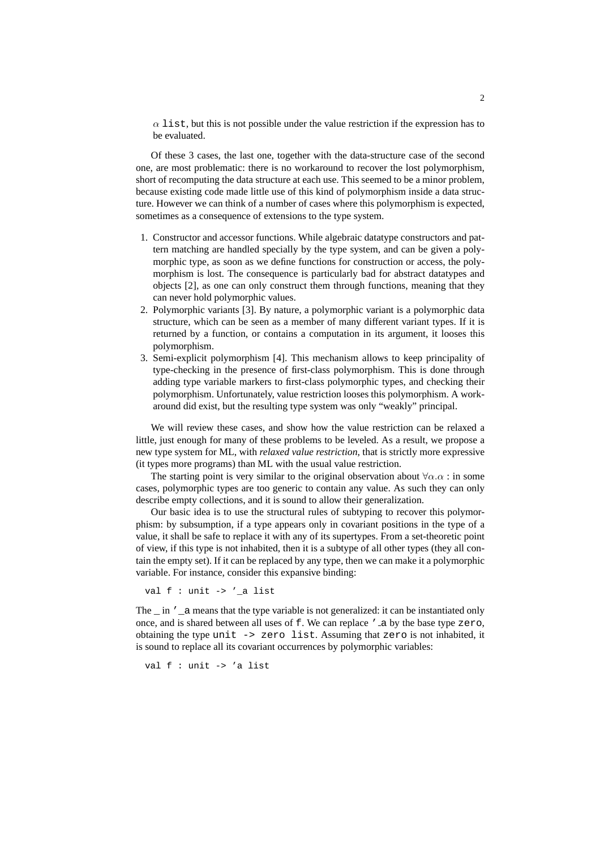$\alpha$  list, but this is not possible under the value restriction if the expression has to be evaluated.

Of these 3 cases, the last one, together with the data-structure case of the second one, are most problematic: there is no workaround to recover the lost polymorphism, short of recomputing the data structure at each use. This seemed to be a minor problem, because existing code made little use of this kind of polymorphism inside a data structure. However we can think of a number of cases where this polymorphism is expected, sometimes as a consequence of extensions to the type system.

- 1. Constructor and accessor functions. While algebraic datatype constructors and pattern matching are handled specially by the type system, and can be given a polymorphic type, as soon as we define functions for construction or access, the polymorphism is lost. The consequence is particularly bad for abstract datatypes and objects [2], as one can only construct them through functions, meaning that they can never hold polymorphic values.
- 2. Polymorphic variants [3]. By nature, a polymorphic variant is a polymorphic data structure, which can be seen as a member of many different variant types. If it is returned by a function, or contains a computation in its argument, it looses this polymorphism.
- 3. Semi-explicit polymorphism [4]. This mechanism allows to keep principality of type-checking in the presence of first-class polymorphism. This is done through adding type variable markers to first-class polymorphic types, and checking their polymorphism. Unfortunately, value restriction looses this polymorphism. A workaround did exist, but the resulting type system was only "weakly" principal.

We will review these cases, and show how the value restriction can be relaxed a little, just enough for many of these problems to be leveled. As a result, we propose a new type system for ML, with *relaxed value restriction*, that is strictly more expressive (it types more programs) than ML with the usual value restriction.

The starting point is very similar to the original observation about  $\forall \alpha \ldots \alpha$ : in some cases, polymorphic types are too generic to contain any value. As such they can only describe empty collections, and it is sound to allow their generalization.

Our basic idea is to use the structural rules of subtyping to recover this polymorphism: by subsumption, if a type appears only in covariant positions in the type of a value, it shall be safe to replace it with any of its supertypes. From a set-theoretic point of view, if this type is not inhabited, then it is a subtype of all other types (they all contain the empty set). If it can be replaced by any type, then we can make it a polymorphic variable. For instance, consider this expansive binding:

```
val f : unit -> '_a list
```
The \_ in '\_a means that the type variable is not generalized: it can be instantiated only once, and is shared between all uses of f. We can replace ' a by the base type zero, obtaining the type unit -> zero list. Assuming that zero is not inhabited, it is sound to replace all its covariant occurrences by polymorphic variables:

val f : unit -> 'a list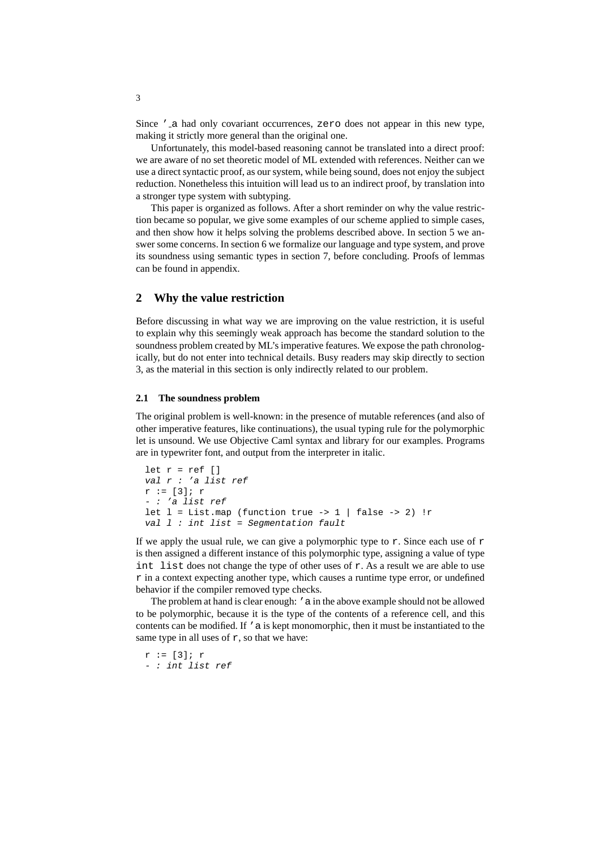Since  $\prime$  a had only covariant occurrences, zero does not appear in this new type, making it strictly more general than the original one.

Unfortunately, this model-based reasoning cannot be translated into a direct proof: we are aware of no set theoretic model of ML extended with references. Neither can we use a direct syntactic proof, as our system, while being sound, does not enjoy the subject reduction. Nonetheless this intuition will lead us to an indirect proof, by translation into a stronger type system with subtyping.

This paper is organized as follows. After a short reminder on why the value restriction became so popular, we give some examples of our scheme applied to simple cases, and then show how it helps solving the problems described above. In section 5 we answer some concerns. In section 6 we formalize our language and type system, and prove its soundness using semantic types in section 7, before concluding. Proofs of lemmas can be found in appendix.

### **2 Why the value restriction**

Before discussing in what way we are improving on the value restriction, it is useful to explain why this seemingly weak approach has become the standard solution to the soundness problem created by ML's imperative features. We expose the path chronologically, but do not enter into technical details. Busy readers may skip directly to section 3, as the material in this section is only indirectly related to our problem.

#### **2.1 The soundness problem**

The original problem is well-known: in the presence of mutable references (and also of other imperative features, like continuations), the usual typing rule for the polymorphic let is unsound. We use Objective Caml syntax and library for our examples. Programs are in typewriter font, and output from the interpreter in italic.

```
let r = ref []
val r : 'a list ref
r := [3]; r
- : 'a list ref
let l = List.max (function true -> 1 | false -> 2) !r
val l : int list = Segmentation fault
```
If we apply the usual rule, we can give a polymorphic type to  $r$ . Since each use of  $r$ is then assigned a different instance of this polymorphic type, assigning a value of type int list does not change the type of other uses of  $r$ . As a result we are able to use  $r$  in a context expecting another type, which causes a runtime type error, or undefined behavior if the compiler removed type checks.

The problem at hand is clear enough: 'a in the above example should not be allowed to be polymorphic, because it is the type of the contents of a reference cell, and this contents can be modified. If 'a is kept monomorphic, then it must be instantiated to the same type in all uses of  $r$ , so that we have:

 $r := [3]; r$ - : int list ref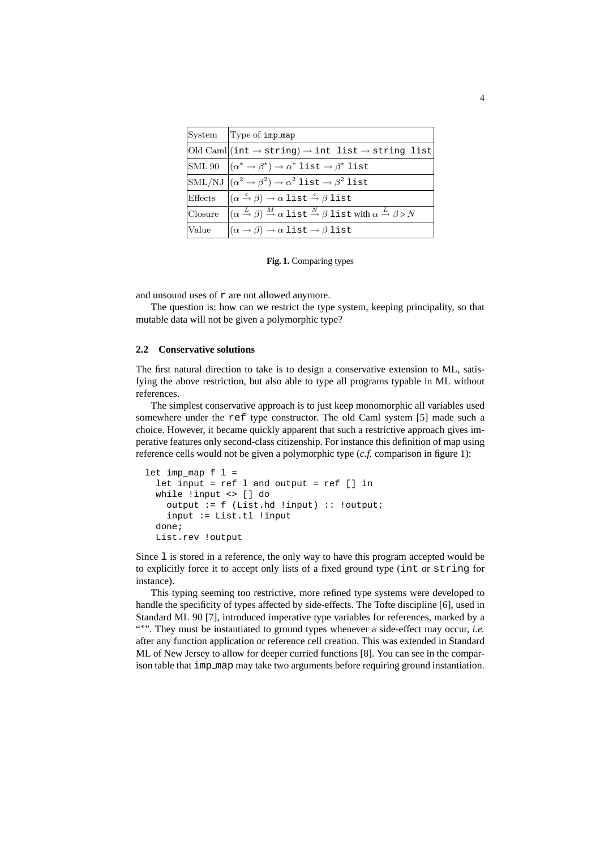| System  | Type of $imp_map$                                                                                                                                                                       |
|---------|-----------------------------------------------------------------------------------------------------------------------------------------------------------------------------------------|
|         | $\text{old CamI}(\text{int} \rightarrow \text{string}) \rightarrow \text{int list} \rightarrow \text{string list}$                                                                      |
|         | $ {\rm SML} 90   (\alpha^* \to \beta^*) \to \alpha^* 1$ ist $\to \beta^* 1$ ist                                                                                                         |
|         | $ {\rm SML/NJ}  (\alpha^2\rightarrow \beta^2)\rightarrow \alpha^2$ list $\rightarrow \beta^2$ list                                                                                      |
| Effects | $\alpha \stackrel{\varsigma}{\rightarrow} \beta$ $\rightarrow \alpha$ list $\stackrel{\varsigma}{\rightarrow} \beta$ list                                                               |
| Closure | $ (\alpha \stackrel{L}{\rightarrow} \beta) \stackrel{M}{\rightarrow} \alpha$ list $\stackrel{N}{\rightarrow} \beta$ list with $\alpha \stackrel{L}{\rightarrow} \beta \triangleright N$ |
| Value   | $ (\alpha \rightarrow \beta) \rightarrow \alpha$ list $\rightarrow \beta$ list                                                                                                          |

**Fig. 1.** Comparing types

and unsound uses of  $r$  are not allowed anymore.

The question is: how can we restrict the type system, keeping principality, so that mutable data will not be given a polymorphic type?

### **2.2 Conservative solutions**

The first natural direction to take is to design a conservative extension to ML, satisfying the above restriction, but also able to type all programs typable in ML without references.

The simplest conservative approach is to just keep monomorphic all variables used somewhere under the ref type constructor. The old Caml system [5] made such a choice. However, it became quickly apparent that such a restrictive approach gives imperative features only second-class citizenship. For instance this definition of map using reference cells would not be given a polymorphic type (*c.f.* comparison in figure 1):

```
let imp map f l =
  let input = ref l and output = ref [] in
  while !input <> [] do
    output := f (List.hd !input) :: !output;
    input := List.tl !input
  done;
 List.rev !output
```
Since l is stored in a reference, the only way to have this program accepted would be to explicitly force it to accept only lists of a fixed ground type (int or string for instance).

This typing seeming too restrictive, more refined type systems were developed to handle the specificity of types affected by side-effects. The Tofte discipline [6], used in Standard ML 90 [7], introduced imperative type variables for references, marked by a " ∗ ". They must be instantiated to ground types whenever a side-effect may occur, *i.e.* after any function application or reference cell creation. This was extended in Standard ML of New Jersey to allow for deeper curried functions [8]. You can see in the comparison table that imp map may take two arguments before requiring ground instantiation.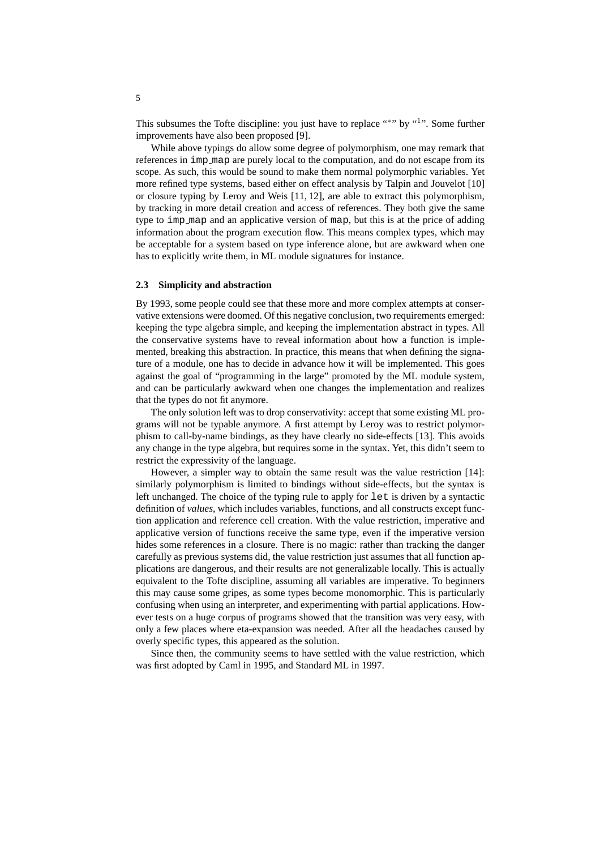This subsumes the Tofte discipline: you just have to replace "\*" by "1". Some further improvements have also been proposed [9].

While above typings do allow some degree of polymorphism, one may remark that references in imp map are purely local to the computation, and do not escape from its scope. As such, this would be sound to make them normal polymorphic variables. Yet more refined type systems, based either on effect analysis by Talpin and Jouvelot [10] or closure typing by Leroy and Weis [11, 12], are able to extract this polymorphism, by tracking in more detail creation and access of references. They both give the same type to imp map and an applicative version of map, but this is at the price of adding information about the program execution flow. This means complex types, which may be acceptable for a system based on type inference alone, but are awkward when one has to explicitly write them, in ML module signatures for instance.

### **2.3 Simplicity and abstraction**

By 1993, some people could see that these more and more complex attempts at conservative extensions were doomed. Of this negative conclusion, two requirements emerged: keeping the type algebra simple, and keeping the implementation abstract in types. All the conservative systems have to reveal information about how a function is implemented, breaking this abstraction. In practice, this means that when defining the signature of a module, one has to decide in advance how it will be implemented. This goes against the goal of "programming in the large" promoted by the ML module system, and can be particularly awkward when one changes the implementation and realizes that the types do not fit anymore.

The only solution left was to drop conservativity: accept that some existing ML programs will not be typable anymore. A first attempt by Leroy was to restrict polymorphism to call-by-name bindings, as they have clearly no side-effects [13]. This avoids any change in the type algebra, but requires some in the syntax. Yet, this didn't seem to restrict the expressivity of the language.

However, a simpler way to obtain the same result was the value restriction [14]: similarly polymorphism is limited to bindings without side-effects, but the syntax is left unchanged. The choice of the typing rule to apply for let is driven by a syntactic definition of *values*, which includes variables, functions, and all constructs except function application and reference cell creation. With the value restriction, imperative and applicative version of functions receive the same type, even if the imperative version hides some references in a closure. There is no magic: rather than tracking the danger carefully as previous systems did, the value restriction just assumes that all function applications are dangerous, and their results are not generalizable locally. This is actually equivalent to the Tofte discipline, assuming all variables are imperative. To beginners this may cause some gripes, as some types become monomorphic. This is particularly confusing when using an interpreter, and experimenting with partial applications. However tests on a huge corpus of programs showed that the transition was very easy, with only a few places where eta-expansion was needed. After all the headaches caused by overly specific types, this appeared as the solution.

Since then, the community seems to have settled with the value restriction, which was first adopted by Caml in 1995, and Standard ML in 1997.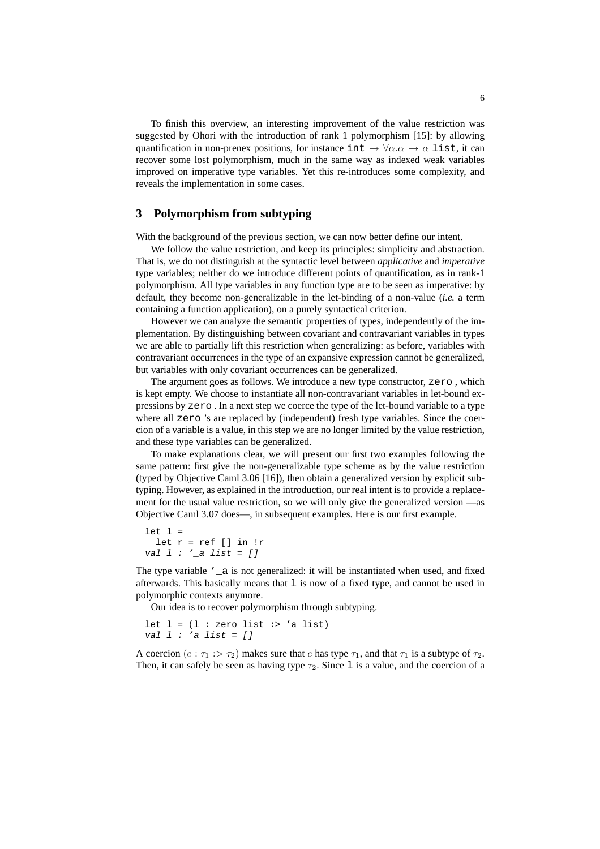To finish this overview, an interesting improvement of the value restriction was suggested by Ohori with the introduction of rank 1 polymorphism [15]: by allowing quantification in non-prenex positions, for instance int  $\rightarrow \forall \alpha.\alpha \rightarrow \alpha$  list, it can recover some lost polymorphism, much in the same way as indexed weak variables improved on imperative type variables. Yet this re-introduces some complexity, and reveals the implementation in some cases.

### **3 Polymorphism from subtyping**

With the background of the previous section, we can now better define our intent.

We follow the value restriction, and keep its principles: simplicity and abstraction. That is, we do not distinguish at the syntactic level between *applicative* and *imperative* type variables; neither do we introduce different points of quantification, as in rank-1 polymorphism. All type variables in any function type are to be seen as imperative: by default, they become non-generalizable in the let-binding of a non-value (*i.e.* a term containing a function application), on a purely syntactical criterion.

However we can analyze the semantic properties of types, independently of the implementation. By distinguishing between covariant and contravariant variables in types we are able to partially lift this restriction when generalizing: as before, variables with contravariant occurrences in the type of an expansive expression cannot be generalized, but variables with only covariant occurrences can be generalized.

The argument goes as follows. We introduce a new type constructor, zero , which is kept empty. We choose to instantiate all non-contravariant variables in let-bound expressions by zero . In a next step we coerce the type of the let-bound variable to a type where all zero 's are replaced by (independent) fresh type variables. Since the coercion of a variable is a value, in this step we are no longer limited by the value restriction, and these type variables can be generalized.

To make explanations clear, we will present our first two examples following the same pattern: first give the non-generalizable type scheme as by the value restriction (typed by Objective Caml 3.06 [16]), then obtain a generalized version by explicit subtyping. However, as explained in the introduction, our real intent is to provide a replacement for the usual value restriction, so we will only give the generalized version —as Objective Caml 3.07 does—, in subsequent examples. Here is our first example.

```
let 1 =let r = ref [] in !r
val l : '\_a list = []
```
The type variable '\_a is not generalized: it will be instantiated when used, and fixed afterwards. This basically means that  $1$  is now of a fixed type, and cannot be used in polymorphic contexts anymore.

Our idea is to recover polymorphism through subtyping.

let  $l = (l : zero list : > 'a list)$ val  $l : 'a$  list =  $[]$ 

A coercion (e :  $\tau_1$  :  $> \tau_2$ ) makes sure that e has type  $\tau_1$ , and that  $\tau_1$  is a subtype of  $\tau_2$ . Then, it can safely be seen as having type  $\tau_2$ . Since 1 is a value, and the coercion of a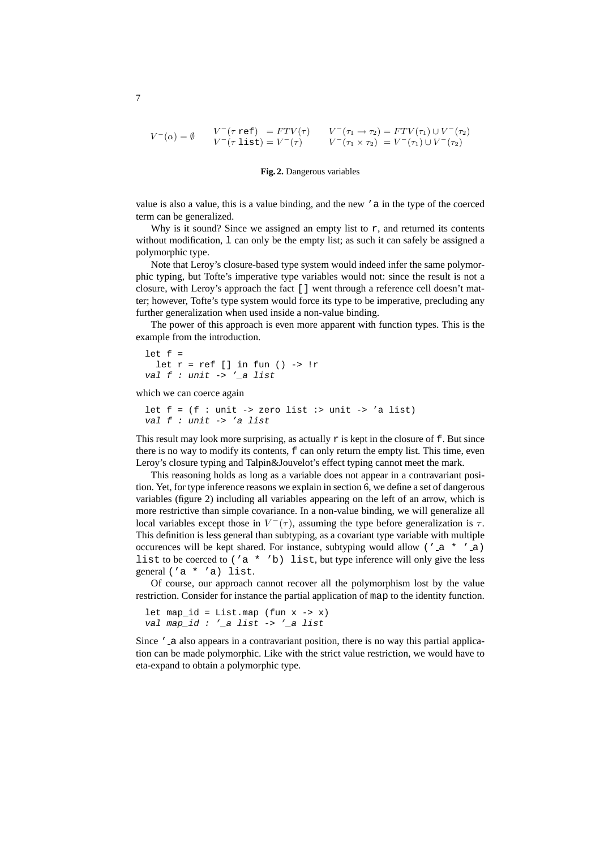$$
V^-(\alpha) = \emptyset \qquad \begin{array}{l} V^-(\tau \text{ ref}) = FTV(\tau) \\ V^-(\tau \text{ list}) = V^-(\tau) \end{array} \qquad \begin{array}{l} V^-(\tau_1 \to \tau_2) = FTV(\tau_1) \cup V^-(\tau_2) \\ V^-(\tau_1 \times \tau_2) = V^-(\tau_1) \cup V^-(\tau_2) \end{array}
$$

#### **Fig. 2.** Dangerous variables

value is also a value, this is a value binding, and the new 'a in the type of the coerced term can be generalized.

Why is it sound? Since we assigned an empty list to  $r$ , and returned its contents without modification, 1 can only be the empty list; as such it can safely be assigned a polymorphic type.

Note that Leroy's closure-based type system would indeed infer the same polymorphic typing, but Tofte's imperative type variables would not: since the result is not a closure, with Leroy's approach the fact [] went through a reference cell doesn't matter; however, Tofte's type system would force its type to be imperative, precluding any further generalization when used inside a non-value binding.

The power of this approach is even more apparent with function types. This is the example from the introduction.

```
let f =let r = ref [] in fun () -> !r
val f : unit -> '_a list
```
which we can coerce again

```
let f = (f : unit \rightarrow zero list : > unit \rightarrow 'a list)val f : unit -> 'a list
```
This result may look more surprising, as actually  $r$  is kept in the closure of  $f$ . But since there is no way to modify its contents, f can only return the empty list. This time, even Leroy's closure typing and Talpin&Jouvelot's effect typing cannot meet the mark.

This reasoning holds as long as a variable does not appear in a contravariant position. Yet, for type inference reasons we explain in section 6, we define a set of dangerous variables (figure 2) including all variables appearing on the left of an arrow, which is more restrictive than simple covariance. In a non-value binding, we will generalize all local variables except those in  $V^-(\tau)$ , assuming the type before generalization is  $\tau$ . This definition is less general than subtyping, as a covariant type variable with multiple occurences will be kept shared. For instance, subtyping would allow  $('a * 'a)$ list to be coerced to ( $'a * 'b$ ) list, but type inference will only give the less general ('a \* 'a) list.

Of course, our approach cannot recover all the polymorphism lost by the value restriction. Consider for instance the partial application of map to the identity function.

```
let map_id = List.map (fun x \rightarrow x)
val map_id : '_a list -> '_a list
```
Since ' a also appears in a contravariant position, there is no way this partial application can be made polymorphic. Like with the strict value restriction, we would have to eta-expand to obtain a polymorphic type.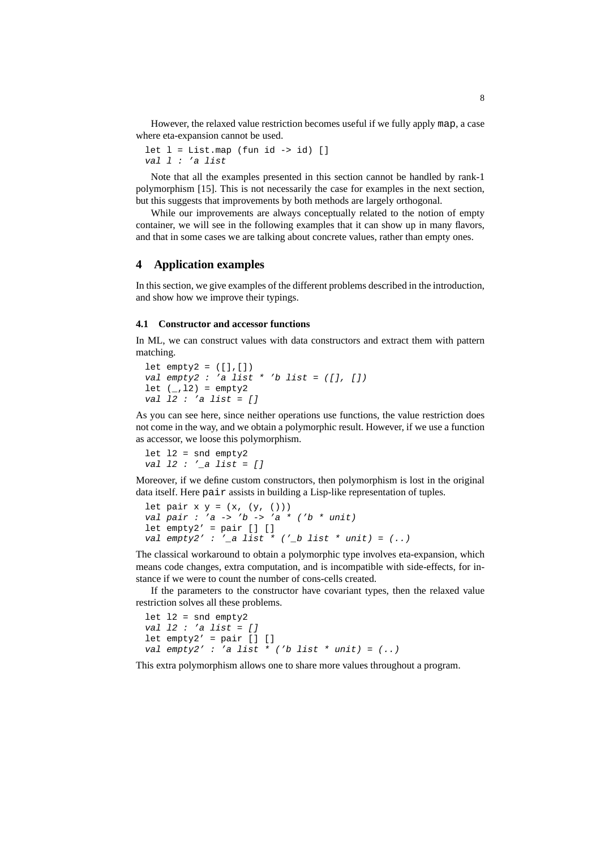However, the relaxed value restriction becomes useful if we fully apply map, a case where eta-expansion cannot be used.

let  $l = Listmap$  (fun id -> id) [] val l : 'a list

Note that all the examples presented in this section cannot be handled by rank-1 polymorphism [15]. This is not necessarily the case for examples in the next section, but this suggests that improvements by both methods are largely orthogonal.

While our improvements are always conceptually related to the notion of empty container, we will see in the following examples that it can show up in many flavors, and that in some cases we are talking about concrete values, rather than empty ones.

### **4 Application examples**

In this section, we give examples of the different problems described in the introduction, and show how we improve their typings.

### **4.1 Constructor and accessor functions**

In ML, we can construct values with data constructors and extract them with pattern matching.

```
let empty2 = ([ ] , [ ] )val empty2 : 'a list * 'b list = ([ ] , [ ] )let (, 12) = empty2
val l2 : 'a list = []
```
As you can see here, since neither operations use functions, the value restriction does not come in the way, and we obtain a polymorphic result. However, if we use a function as accessor, we loose this polymorphism.

```
let 12 = snd empty2
val l2 : '_a list = []
```
Moreover, if we define custom constructors, then polymorphism is lost in the original data itself. Here pair assists in building a Lisp-like representation of tuples.

```
let pair x y = (x, (y, ()))val pair : 'a -> 'b -> 'a * ('b * unit)
let empty2' = pair [] []
val empty2' : '_a list * ('_b list * unit) = ( \, . \, . \, )
```
The classical workaround to obtain a polymorphic type involves eta-expansion, which means code changes, extra computation, and is incompatible with side-effects, for instance if we were to count the number of cons-cells created.

If the parameters to the constructor have covariant types, then the relaxed value restriction solves all these problems.

```
let 12 = end empty2val 12 : 'a list = []
let empty2' = pair [] []val empty2' : 'a list * ('b list * unit) = ( \, . \, . \, )
```
This extra polymorphism allows one to share more values throughout a program.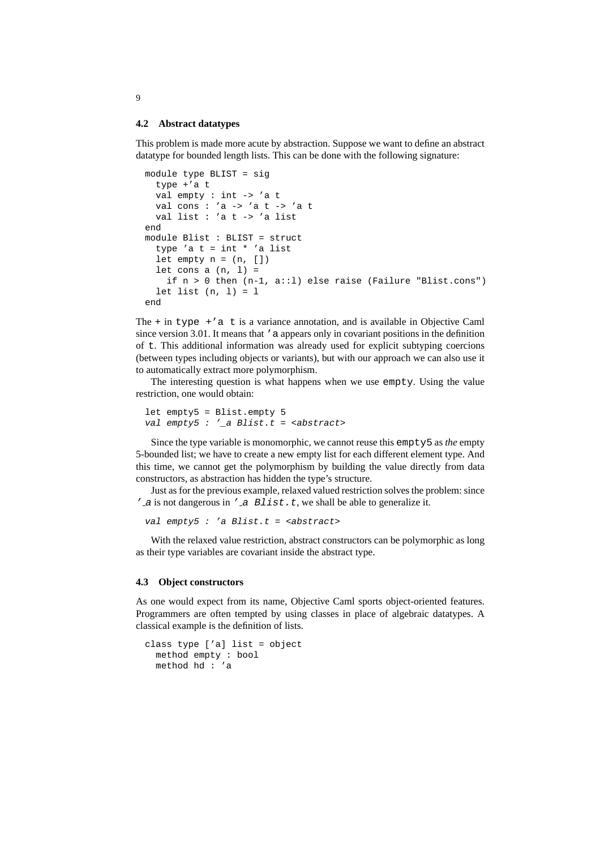#### **4.2 Abstract datatypes**

This problem is made more acute by abstraction. Suppose we want to define an abstract datatype for bounded length lists. This can be done with the following signature:

```
module type BLIST = sig
 type +'a t
 val empty : int -> 'a t
 val cons : 'a -> 'a t -> 'a t
 val list : 'a t -> 'a list
end
module Blist : BLIST = struct
 type 'a t = int * 'a list
  let empty n = (n, [])let cons a (n, 1) =
   if n > 0 then (n-1, a::l) else raise (Failure "Blist.cons")
 let list (n, 1) = 1end
```
The  $+$  in type  $+$ 'a t is a variance annotation, and is available in Objective Caml since version 3.01. It means that 'a appears only in covariant positions in the definition of t. This additional information was already used for explicit subtyping coercions (between types including objects or variants), but with our approach we can also use it to automatically extract more polymorphism.

The interesting question is what happens when we use empty. Using the value restriction, one would obtain:

```
let empty5 = Blist.empty 5
val empty5 : '_a Blist.t = <abstract>
```
Since the type variable is monomorphic, we cannot reuse this empty5 as *the* empty 5-bounded list; we have to create a new empty list for each different element type. And this time, we cannot get the polymorphism by building the value directly from data constructors, as abstraction has hidden the type's structure.

Just as for the previous example, relaxed valued restriction solves the problem: since ' a is not dangerous in ' a  $Blist.t$ , we shall be able to generalize it.

val empty5 : 'a Blist.t =  $\langle$ abstract>

With the relaxed value restriction, abstract constructors can be polymorphic as long as their type variables are covariant inside the abstract type.

#### **4.3 Object constructors**

As one would expect from its name, Objective Caml sports object-oriented features. Programmers are often tempted by using classes in place of algebraic datatypes. A classical example is the definition of lists.

```
class type ['a] list = object
 method empty : bool
 method hd : 'a
```
9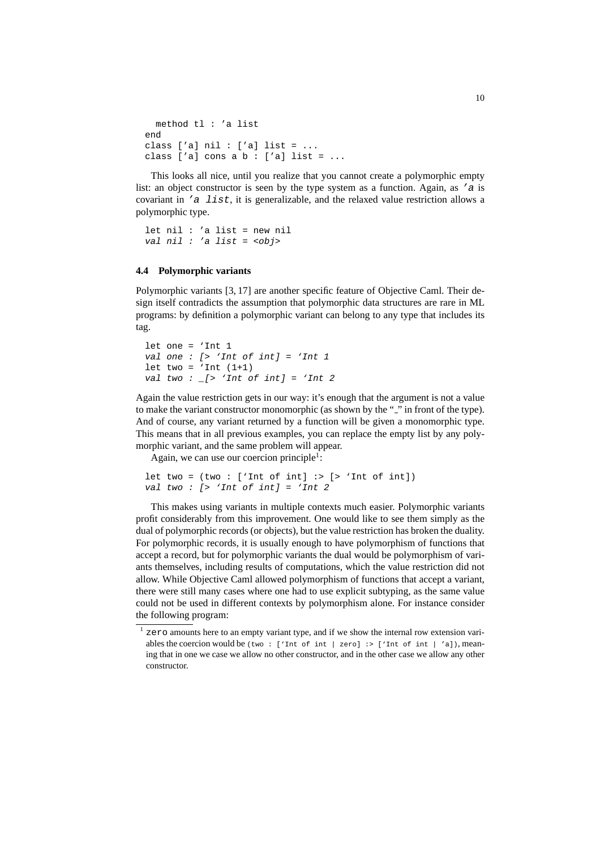```
method tl : 'a list
end
class ['a] nil : ['a] list = ...
class ['a] cons a b : ['a] list = ...
```
This looks all nice, until you realize that you cannot create a polymorphic empty list: an object constructor is seen by the type system as a function. Again, as 'a is covariant in 'a list, it is generalizable, and the relaxed value restriction allows a polymorphic type.

```
let nil : 'a list = new nil
val nil : 'a list = {<}obj
```
### **4.4 Polymorphic variants**

Polymorphic variants [3, 17] are another specific feature of Objective Caml. Their design itself contradicts the assumption that polymorphic data structures are rare in ML programs: by definition a polymorphic variant can belong to any type that includes its tag.

```
let one = 'Int 1
val one : [> 'Int of int] = 'Int 1
let two = \intInt (1+1)val two : \lfloor> 'Int of int] = 'Int 2
```
Again the value restriction gets in our way: it's enough that the argument is not a value to make the variant constructor monomorphic (as shown by the "" in front of the type). And of course, any variant returned by a function will be given a monomorphic type. This means that in all previous examples, you can replace the empty list by any polymorphic variant, and the same problem will appear.

Again, we can use our coercion principle<sup>1</sup>:

```
let two = (two : ['Int of int] :> [> 'Int of int])val two : [> 'Int of int] = 'Int 2
```
This makes using variants in multiple contexts much easier. Polymorphic variants profit considerably from this improvement. One would like to see them simply as the dual of polymorphic records (or objects), but the value restriction has broken the duality. For polymorphic records, it is usually enough to have polymorphism of functions that accept a record, but for polymorphic variants the dual would be polymorphism of variants themselves, including results of computations, which the value restriction did not allow. While Objective Caml allowed polymorphism of functions that accept a variant, there were still many cases where one had to use explicit subtyping, as the same value could not be used in different contexts by polymorphism alone. For instance consider the following program:

 $1$  zero amounts here to an empty variant type, and if we show the internal row extension variables the coercion would be (two : ['Int of int | zero] :> ['Int of int | 'a]), meaning that in one we case we allow no other constructor, and in the other case we allow any other constructor.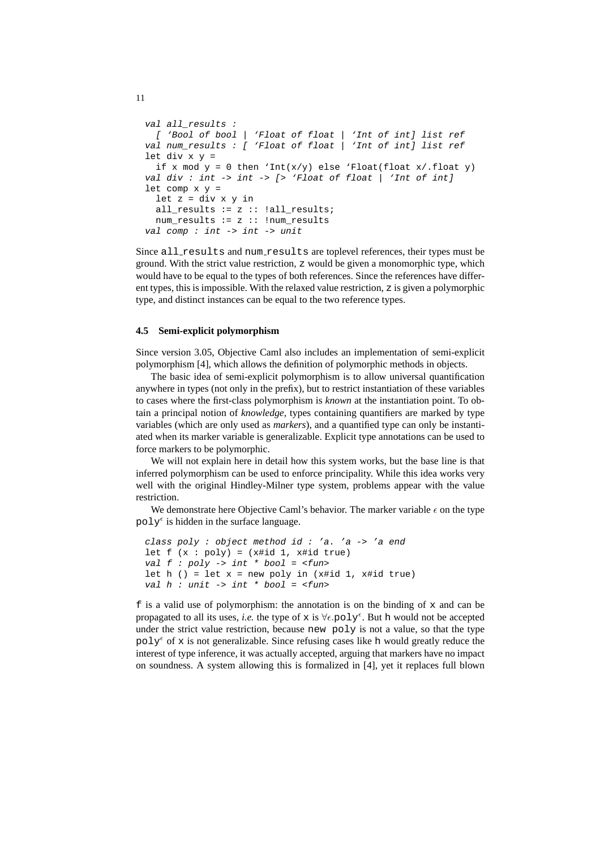```
val all results :
 [ 'Bool of bool | 'Float of float | 'Int of int] list ref
val num_results : \int 'Float of float \int 'Int of int] list ref
let div x y =if x mod y = 0 then 'Int(x/y) else 'Float(float x/.float y)
val div : int -> int -> [> 'Float of float | 'Int of int]
let comp x y =let z = div x y in
 all results := z :: !all results;
 num_results := z :: !num_results
val comp : int -> int -> unit
```
Since all results and num results are toplevel references, their types must be ground. With the strict value restriction, z would be given a monomorphic type, which would have to be equal to the types of both references. Since the references have different types, this is impossible. With the relaxed value restriction, z is given a polymorphic type, and distinct instances can be equal to the two reference types.

### **4.5 Semi-explicit polymorphism**

Since version 3.05, Objective Caml also includes an implementation of semi-explicit polymorphism [4], which allows the definition of polymorphic methods in objects.

The basic idea of semi-explicit polymorphism is to allow universal quantification anywhere in types (not only in the prefix), but to restrict instantiation of these variables to cases where the first-class polymorphism is *known* at the instantiation point. To obtain a principal notion of *knowledge*, types containing quantifiers are marked by type variables (which are only used as *markers*), and a quantified type can only be instantiated when its marker variable is generalizable. Explicit type annotations can be used to force markers to be polymorphic.

We will not explain here in detail how this system works, but the base line is that inferred polymorphism can be used to enforce principality. While this idea works very well with the original Hindley-Milner type system, problems appear with the value restriction.

We demonstrate here Objective Caml's behavior. The marker variable  $\epsilon$  on the type  $poly<sup>\epsilon</sup>$  is hidden in the surface language.

```
class poly : object method id : 'a. 'a -> 'a end
let f(x : poly) = (x \# id 1, x \# id true)val f : poly \rightarrow int * bool = <fun>
let h () = let x = new poly in (x#id 1, x#id true)
val h : unit \rightarrow int * bool = \langlefun>
```
f is a valid use of polymorphism: the annotation is on the binding of  $x$  and can be propagated to all its uses, *i.e.* the type of x is  $\forall \epsilon$ . poly<sup> $\epsilon$ </sup>. But h would not be accepted under the strict value restriction, because new poly is not a value, so that the type  $poly<sup>\epsilon</sup>$  of x is not generalizable. Since refusing cases like h would greatly reduce the interest of type inference, it was actually accepted, arguing that markers have no impact on soundness. A system allowing this is formalized in [4], yet it replaces full blown

11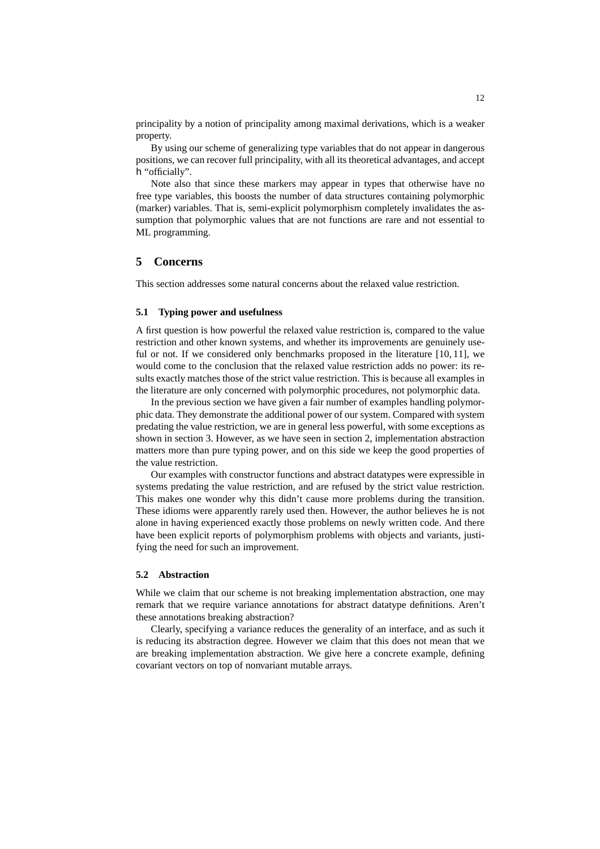principality by a notion of principality among maximal derivations, which is a weaker property.

By using our scheme of generalizing type variables that do not appear in dangerous positions, we can recover full principality, with all its theoretical advantages, and accept h "officially".

Note also that since these markers may appear in types that otherwise have no free type variables, this boosts the number of data structures containing polymorphic (marker) variables. That is, semi-explicit polymorphism completely invalidates the assumption that polymorphic values that are not functions are rare and not essential to ML programming.

### **5 Concerns**

This section addresses some natural concerns about the relaxed value restriction.

#### **5.1 Typing power and usefulness**

A first question is how powerful the relaxed value restriction is, compared to the value restriction and other known systems, and whether its improvements are genuinely useful or not. If we considered only benchmarks proposed in the literature [10, 11], we would come to the conclusion that the relaxed value restriction adds no power: its results exactly matches those of the strict value restriction. This is because all examples in the literature are only concerned with polymorphic procedures, not polymorphic data.

In the previous section we have given a fair number of examples handling polymorphic data. They demonstrate the additional power of our system. Compared with system predating the value restriction, we are in general less powerful, with some exceptions as shown in section 3. However, as we have seen in section 2, implementation abstraction matters more than pure typing power, and on this side we keep the good properties of the value restriction.

Our examples with constructor functions and abstract datatypes were expressible in systems predating the value restriction, and are refused by the strict value restriction. This makes one wonder why this didn't cause more problems during the transition. These idioms were apparently rarely used then. However, the author believes he is not alone in having experienced exactly those problems on newly written code. And there have been explicit reports of polymorphism problems with objects and variants, justifying the need for such an improvement.

### **5.2 Abstraction**

While we claim that our scheme is not breaking implementation abstraction, one may remark that we require variance annotations for abstract datatype definitions. Aren't these annotations breaking abstraction?

Clearly, specifying a variance reduces the generality of an interface, and as such it is reducing its abstraction degree. However we claim that this does not mean that we are breaking implementation abstraction. We give here a concrete example, defining covariant vectors on top of nonvariant mutable arrays.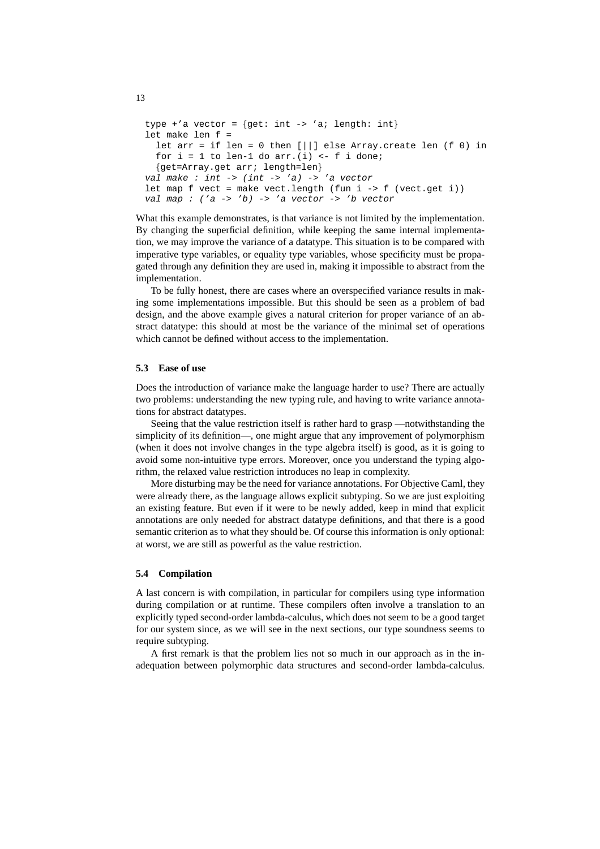```
type +'a vector = {get: int -> 'a; length: int}
let make len f =
  let arr = if len = 0 then [||] else Array.create len (f 0) in
  for i = 1 to len-1 do arr.(i) <- f i done;
  {get=Array.get arr; length=len}
val make : int \rightarrow (int \rightarrow 'a) \rightarrow 'a vector
let map f vect = make vect.length (fun i \rightarrow f (vect.get i))
val map : (a \rightarrow 'b) \rightarrow 'a vector -> 'b vector
```
What this example demonstrates, is that variance is not limited by the implementation. By changing the superficial definition, while keeping the same internal implementation, we may improve the variance of a datatype. This situation is to be compared with imperative type variables, or equality type variables, whose specificity must be propagated through any definition they are used in, making it impossible to abstract from the implementation.

To be fully honest, there are cases where an overspecified variance results in making some implementations impossible. But this should be seen as a problem of bad design, and the above example gives a natural criterion for proper variance of an abstract datatype: this should at most be the variance of the minimal set of operations which cannot be defined without access to the implementation.

#### **5.3 Ease of use**

Does the introduction of variance make the language harder to use? There are actually two problems: understanding the new typing rule, and having to write variance annotations for abstract datatypes.

Seeing that the value restriction itself is rather hard to grasp —notwithstanding the simplicity of its definition—, one might argue that any improvement of polymorphism (when it does not involve changes in the type algebra itself) is good, as it is going to avoid some non-intuitive type errors. Moreover, once you understand the typing algorithm, the relaxed value restriction introduces no leap in complexity.

More disturbing may be the need for variance annotations. For Objective Caml, they were already there, as the language allows explicit subtyping. So we are just exploiting an existing feature. But even if it were to be newly added, keep in mind that explicit annotations are only needed for abstract datatype definitions, and that there is a good semantic criterion as to what they should be. Of course this information is only optional: at worst, we are still as powerful as the value restriction.

#### **5.4 Compilation**

A last concern is with compilation, in particular for compilers using type information during compilation or at runtime. These compilers often involve a translation to an explicitly typed second-order lambda-calculus, which does not seem to be a good target for our system since, as we will see in the next sections, our type soundness seems to require subtyping.

A first remark is that the problem lies not so much in our approach as in the inadequation between polymorphic data structures and second-order lambda-calculus.

13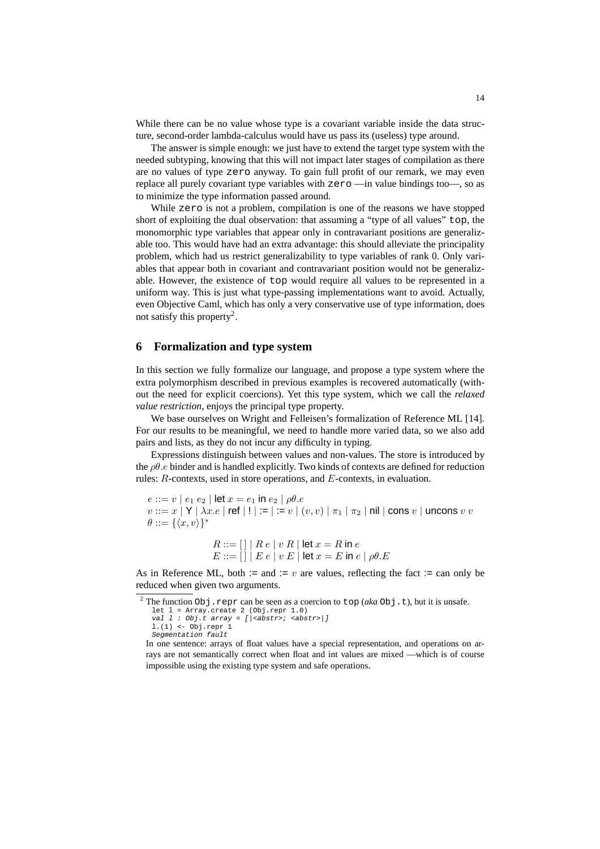While there can be no value whose type is a covariant variable inside the data structure, second-order lambda-calculus would have us pass its (useless) type around.

The answer is simple enough: we just have to extend the target type system with the needed subtyping, knowing that this will not impact later stages of compilation as there are no values of type zero anyway. To gain full profit of our remark, we may even replace all purely covariant type variables with zero —in value bindings too—, so as to minimize the type information passed around.

While zero is not a problem, compilation is one of the reasons we have stopped short of exploiting the dual observation: that assuming a "type of all values" top, the monomorphic type variables that appear only in contravariant positions are generalizable too. This would have had an extra advantage: this should alleviate the principality problem, which had us restrict generalizability to type variables of rank 0. Only variables that appear both in covariant and contravariant position would not be generalizable. However, the existence of top would require all values to be represented in a uniform way. This is just what type-passing implementations want to avoid. Actually, even Objective Caml, which has only a very conservative use of type information, does not satisfy this property<sup>2</sup>.

### **6 Formalization and type system**

In this section we fully formalize our language, and propose a type system where the extra polymorphism described in previous examples is recovered automatically (without the need for explicit coercions). Yet this type system, which we call the *relaxed value restriction*, enjoys the principal type property.

We base ourselves on Wright and Felleisen's formalization of Reference ML [14]. For our results to be meaningful, we need to handle more varied data, so we also add pairs and lists, as they do not incur any difficulty in typing.

Expressions distinguish between values and non-values. The store is introduced by the  $\rho\theta$ .e binder and is handled explicitly. Two kinds of contexts are defined for reduction rules: R-contexts, used in store operations, and E-contexts, in evaluation.

 $e ::= v \mid e_1 \mid e_2 \mid \text{let } x = e_1 \text{ in } e_2 \mid \rho \theta \mid e$  $v ::= x | Y | \lambda x.e | ref | ! | := | := v | (v, v) | \pi_1 | \pi_2 | nil | cons v | uncons v v$  $\theta ::= {\langle x, v \rangle}^*$ 

$$
R ::= [] | Re | v R | let x = R in e
$$
  

$$
E ::= [] | E e | v E | let x = E in e | \rho \theta.E
$$

As in Reference ML, both := and := v are values, reflecting the fact := can only be reduced when given two arguments.

<sup>2</sup> The function Obj.repr can be seen as a coercion to top ( $aka$  Obj.t), but it is unsafe.

let l = Array.create 2 (Obj.repr 1.0) val  $l : Obj.t$  array =  $[$   $|$  <abstr>; <abstr> $|$  ]

l.(1) <- Obj.repr 1

Segmentation fault

In one sentence: arrays of float values have a special representation, and operations on arrays are not semantically correct when float and int values are mixed —which is of course impossible using the existing type system and safe operations.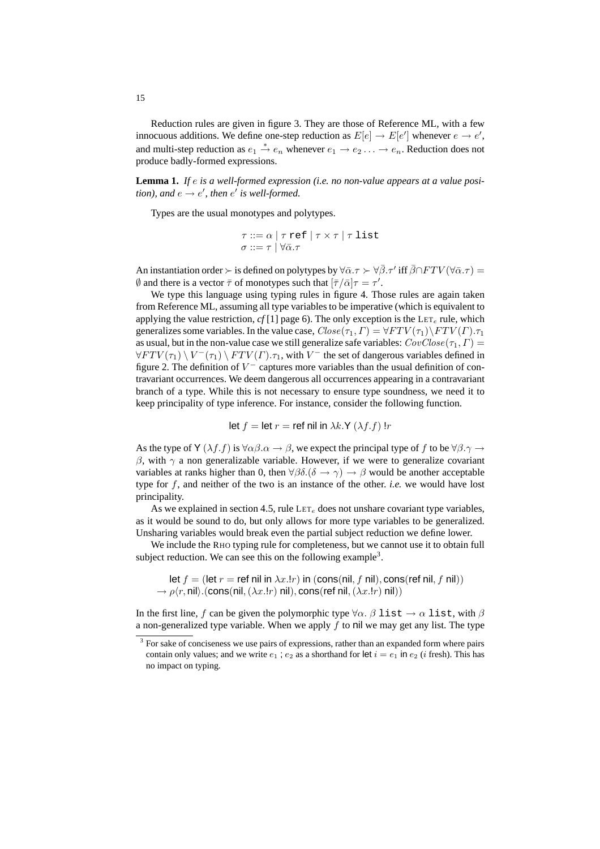Reduction rules are given in figure 3. They are those of Reference ML, with a few innocuous additions. We define one-step reduction as  $E[e] \to E[e']$  whenever  $e \to e'$ , and multi-step reduction as  $e_1 \stackrel{*}{\rightarrow} e_n$  whenever  $e_1 \rightarrow e_2 \ldots \rightarrow e_n$ . Reduction does not produce badly-formed expressions.

**Lemma 1.** *If* e *is a well-formed expression (i.e. no non-value appears at a value position*), and  $e \rightarrow e'$ , then  $e'$  is well-formed.

Types are the usual monotypes and polytypes.

$$
\tau ::= \alpha \mid \tau \text{ ref} \mid \tau \times \tau \mid \tau \text{ list}
$$

$$
\sigma ::= \tau \mid \forall \bar{\alpha}.\tau
$$

An instantiation order ≻ is defined on polytypes by  $\forall \bar{\alpha}.\tau \succ \forall \bar{\beta}.\tau'$  iff  $\bar{\beta} \cap FTV(\forall \bar{\alpha}.\tau) =$  $\emptyset$  and there is a vector  $\bar{\tau}$  of monotypes such that  $[\bar{\tau}/\bar{\alpha}]\tau = \tau'.$ 

We type this language using typing rules in figure 4. Those rules are again taken from Reference ML, assuming all type variables to be imperative (which is equivalent to applying the value restriction,  $cf[1]$  page 6). The only exception is the LET<sub>e</sub> rule, which generalizes some variables. In the value case,  $Close(\tau_1, \Gamma) = \forall FTV(\tau_1) \backslash FTV(\Gamma)$ . $\tau_1$ as usual, but in the non-value case we still generalize safe variables:  $CovClose(\tau_1, \Gamma)$  =  $\forall FTV(\tau_1) \setminus V^-(\tau_1) \setminus FTV(\Gamma)$ .  $\tau_1$ , with  $V^-$  the set of dangerous variables defined in figure 2. The definition of  $V^-$  captures more variables than the usual definition of contravariant occurrences. We deem dangerous all occurrences appearing in a contravariant branch of a type. While this is not necessary to ensure type soundness, we need it to keep principality of type inference. For instance, consider the following function.

$$
\mathsf{let}\ f = \mathsf{let}\ r = \mathsf{ref}\ \mathsf{nil}\ \mathsf{in}\ \lambda k.\mathsf{Y}\ (\lambda f.f)\ !r
$$

As the type of Y ( $\lambda f.f$ ) is  $\forall \alpha \beta \cdot \alpha \rightarrow \beta$ , we expect the principal type of f to be  $\forall \beta \cdot \gamma \rightarrow$ β, with γ a non generalizable variable. However, if we were to generalize covariant variables at ranks higher than 0, then  $\forall \beta \delta.(\delta \rightarrow \gamma) \rightarrow \beta$  would be another acceptable type for f, and neither of the two is an instance of the other. *i.e.* we would have lost principality.

As we explained in section 4.5, rule LET<sub>e</sub> does not unshare covariant type variables, as it would be sound to do, but only allows for more type variables to be generalized. Unsharing variables would break even the partial subject reduction we define lower.

We include the RHO typing rule for completeness, but we cannot use it to obtain full subject reduction. We can see this on the following example<sup>3</sup>.

let  $f = (let r = ref \text{ nil in } \lambda x.!r)$  in  $(cons(\text{nil}, f \text{ nil}), cons(\text{ref} \text{ nil}, f \text{ nil}))$  $\rightarrow \rho \langle r, \text{nil} \rangle$ .(cons(nil, ( $\lambda x.lr$ ) nil), cons(ref nil, ( $\lambda x.lr$ ) nil))

In the first line, f can be given the polymorphic type  $\forall \alpha$ .  $\beta$  list  $\rightarrow \alpha$  list, with  $\beta$ a non-generalized type variable. When we apply  $f$  to nil we may get any list. The type

<sup>&</sup>lt;sup>3</sup> For sake of conciseness we use pairs of expressions, rather than an expanded form where pairs contain only values; and we write  $e_1$ ;  $e_2$  as a shorthand for let  $i = e_1$  in  $e_2$  (*i* fresh). This has no impact on typing.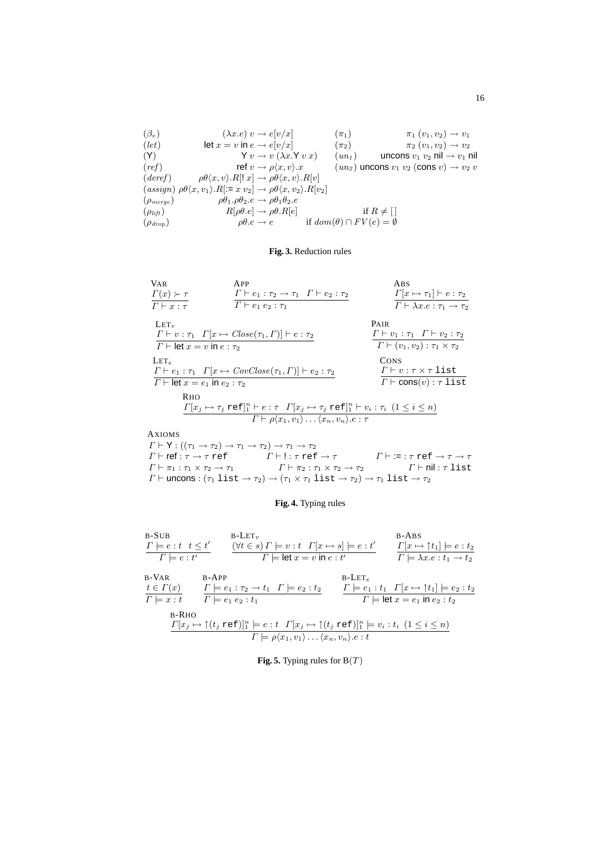$$
(A. e) v \rightarrow e[v/x]
$$
\n
$$
(x.e) v \rightarrow e[v/x]
$$
\n
$$
(x 0)
$$
\n
$$
(b. e) v \rightarrow (x 0)
$$
\n
$$
(b. e) v \rightarrow (x 0)
$$
\n
$$
(b. e) v \rightarrow (x 0)
$$
\n
$$
(b. e) v \rightarrow (x 0)
$$
\n
$$
(b. e) v \rightarrow (x 0)
$$
\n
$$
(b. e) v \rightarrow (x 0)
$$
\n
$$
(b. e) v \rightarrow (x 0)
$$
\n
$$
(b. e) v \rightarrow (x 0)
$$
\n
$$
(b. e) v \rightarrow (x 0)
$$
\n
$$
(b. e) v \rightarrow (x 0)
$$
\n
$$
(b. e) v \rightarrow (x 0)
$$
\n
$$
(b. e) v \rightarrow (x 0)
$$
\n
$$
(b. e) v \rightarrow (x 0)
$$
\n
$$
(b. e) v \rightarrow (x 0)
$$
\n
$$
(b. e) v \rightarrow (x 0)
$$
\n
$$
(b. e) v \rightarrow (x 0)
$$
\n
$$
(b. e) v \rightarrow (x 0)
$$
\n
$$
(b. e) v \rightarrow (x 0)
$$
\n
$$
(b. e) v \rightarrow (x 0)
$$
\n
$$
(b. e) v \rightarrow (x 0)
$$
\n
$$
(b. e) v \rightarrow (x 0)
$$
\n
$$
(b. e) v \rightarrow (x 0)
$$
\n
$$
(b. e) v \rightarrow (x 0)
$$
\n
$$
(b. e) v \rightarrow (b. e)
$$
\n
$$
(b. e) v \rightarrow (b. e)
$$
\n
$$
(b. e) v \rightarrow (b. e)
$$
\n
$$
(b. e) v \rightarrow (b. e)
$$
\n
$$
(b. e) v \rightarrow (b. e)
$$
\n
$$
(b. e) v \rightarrow (b. e)
$$
\n
$$
(b. e) v \rightarrow (b. e)
$$
\n
$$
(b. e) v \rightarrow (b. e)
$$
\n
$$
(b. e) v \rightarrow (b. e)
$$
\n
$$
(b. e) v \rightarrow (b. e)
$$
\n
$$
(b. e) v \rightarrow (b. e)
$$
\

# **Fig. 3.** Reduction rules

| <b>VAR</b>                                      | APP                                                                                                                                           | ABS                                                                                |
|-------------------------------------------------|-----------------------------------------------------------------------------------------------------------------------------------------------|------------------------------------------------------------------------------------|
| $\Gamma(x) \succ \tau$                          | $\Gamma \vdash e_1 : \tau_2 \rightarrow \tau_1$ $\Gamma \vdash e_2 : \tau_2$                                                                  | $\Gamma[x \mapsto \tau_1] \vdash e : \tau_2$                                       |
| $\Gamma \vdash x : \tau$                        | $\Gamma\vdash e_1\ e_2:\tau_1$                                                                                                                | $\Gamma \vdash \lambda x.e : \tau_1 \rightarrow \tau_2$                            |
| LET <sub>v</sub>                                |                                                                                                                                               | PAIR                                                                               |
|                                                 | $\Gamma \vdash v : \tau_1 \quad \Gamma[x \mapsto Close(\tau_1, \Gamma)] \vdash e : \tau_2$                                                    | $\Gamma\vdash v_1:\tau_1\quad \Gamma\vdash v_2:\tau_2$                             |
| $\Gamma \vdash$ let $x = v$ in $e : \tau_2$     |                                                                                                                                               | $\Gamma \vdash (v_1, v_2) : \tau_1 \times \tau_2$                                  |
| $LET_e$                                         |                                                                                                                                               | CONS                                                                               |
|                                                 | $\Gamma \vdash e_1 : \tau_1 \quad \Gamma[x \mapsto CovClose(\tau_1, \Gamma)] \vdash e_2 : \tau_2$                                             | $\Gamma \vdash v : \tau \times \tau$ list                                          |
| $\Gamma \vdash$ let $x = e_1$ in $e_2 : \tau_2$ |                                                                                                                                               | $\Gamma \vdash \mathsf{cons}(v) : \tau$ list                                       |
| <b>RHO</b>                                      |                                                                                                                                               |                                                                                    |
|                                                 | $\Gamma[x_i \mapsto \tau_i \text{ ref}]_1^n \vdash e : \tau \Gamma[x_i \mapsto \tau_i \text{ ref}]_1^n \vdash v_i : \tau_i (1 \leq i \leq n)$ |                                                                                    |
|                                                 | $\Gamma \vdash \rho \langle x_1, v_1 \rangle \dots \langle x_n, v_n \rangle \dots \tau$                                                       |                                                                                    |
| Axioms                                          |                                                                                                                                               |                                                                                    |
|                                                 | $\Gamma \vdash \mathsf{Y}: ((\tau_1 \rightarrow \tau_2) \rightarrow \tau_1 \rightarrow \tau_2) \rightarrow \tau_1 \rightarrow \tau_2$         |                                                                                    |
| $\varGamma\vdash$ ref : $\tau\to\tau$ ref       | $\Gamma \vdash ! : \tau \text{ ref} \rightarrow \tau$                                                                                         | $\Gamma \vdash \vcentcolon = : \tau \text{ ref} \rightarrow \tau \rightarrow \tau$ |

| $I \vdash \textsf{ICI}: \tau \rightarrow \tau \text{ ref}$                                                                                                                                   | $I \vdash \cdot : \tau$ ret $\rightarrow \tau$                  | $I \vdash \equiv : \tau$ ret $\rightarrow \tau \rightarrow \tau$ |
|----------------------------------------------------------------------------------------------------------------------------------------------------------------------------------------------|-----------------------------------------------------------------|------------------------------------------------------------------|
| $\Gamma \vdash \pi_1 : \tau_1 \times \tau_2 \rightarrow \tau_1$                                                                                                                              | $\Gamma \vdash \pi_2 : \tau_1 \times \tau_2 \rightarrow \tau_2$ | $\Gamma \vdash \mathsf{nil} : \tau \mathrel{\mathtt{list}}$      |
| $\Gamma \vdash$ uncons : $(\tau_1 \text{ list } \rightarrow \tau_2) \rightarrow (\tau_1 \times \tau_1 \text{ list } \rightarrow \tau_2) \rightarrow \tau_1 \text{ list } \rightarrow \tau_2$ |                                                                 |                                                                  |

# **Fig. 4.** Typing rules

| $B-SUB$<br>$\Gamma \models e : t \quad t \leq t'$<br>$\Gamma \models e : t'$ | $B$ -LET <sub>11</sub><br>$(\forall t \in s) \Gamma \models v : t \Gamma[x \mapsto s] \models e : t'$<br>$\Gamma \models$ let $x = v$ in $e : t'$                                                                                                 |                       | $B-ABS$<br>$\Gamma[x \mapsto \uparrow t_1] \models e : t_2$<br>$\Gamma \models \lambda x.e : t_1 \rightarrow t_2$                  |
|------------------------------------------------------------------------------|---------------------------------------------------------------------------------------------------------------------------------------------------------------------------------------------------------------------------------------------------|-----------------------|------------------------------------------------------------------------------------------------------------------------------------|
| B-VAR<br>$t\in\Gamma(x)$<br>$\Gamma \models x : t$                           | $B-APP$<br>$\Gamma \models e_1 : \tau_2 \rightarrow t_1$ $\Gamma \models e_2 : t_2$<br>$\Gamma \models e_1 \, e_2 : t_1$                                                                                                                          | $B$ -LET <sub>e</sub> | $\Gamma \models e_1 : t_1 \quad \Gamma[x \mapsto \uparrow t_1] \models e_2 : t_2$<br>$\Gamma \models$ let $x = e_1$ in $e_2 : t_2$ |
| $B-RHO$                                                                      | $\Gamma[x_j \mapsto \uparrow (t_j \text{ ref})]^n_1 \models e : t \Gamma[x_j \mapsto \uparrow (t_j \text{ ref})]^n_1 \models v_i : t_i \ (1 \leq i \leq n)$<br>$\Gamma \models \rho\langle x_1, v_1 \rangle \dots \langle x_n, v_n \rangle \dots$ |                       |                                                                                                                                    |

**Fig. 5.** Typing rules for  $B(T)$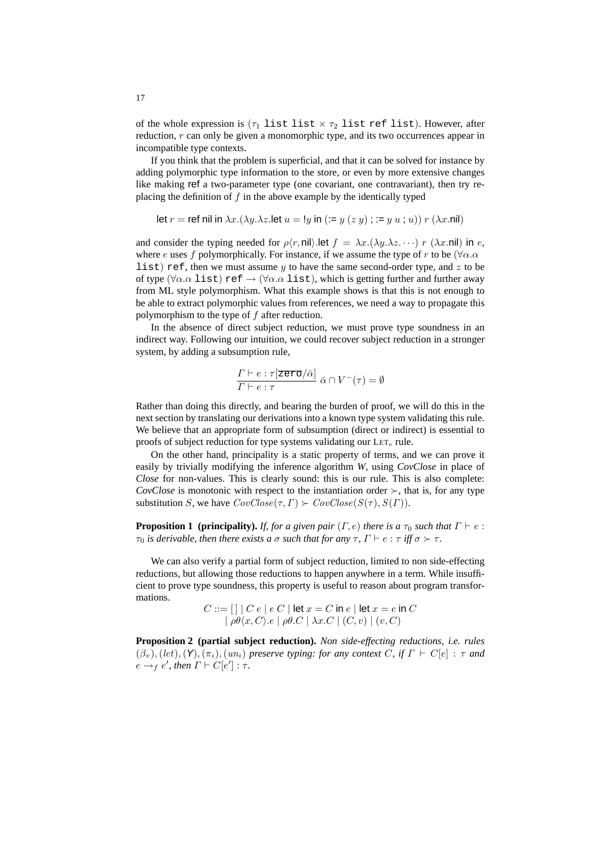of the whole expression is  $(\tau_1 \text{ list } \exists x \tau_2 \text{ list } \tau \in \text{list})$ . However, after reduction, r can only be given a monomorphic type, and its two occurrences appear in incompatible type contexts.

If you think that the problem is superficial, and that it can be solved for instance by adding polymorphic type information to the store, or even by more extensive changes like making ref a two-parameter type (one covariant, one contravariant), then try replacing the definition of  $f$  in the above example by the identically typed

let 
$$
r =
$$
 ref nil in  $\lambda x. (\lambda y. \lambda z.$  let  $u = !y$  in  $(:= y (z y))$ ;  $= y u$ ; u)  $r (\lambda x.$ nil)

and consider the typing needed for  $\rho(r, \text{nil})$ . let  $f = \lambda x.(\lambda y. \lambda z. \cdots) r (\lambda x. \text{nil})$  in e, where e uses f polymorphically. For instance, if we assume the type of r to be  $(\forall \alpha \alpha)$ list) ref, then we must assume y to have the same second-order type, and z to be of type ( $\forall \alpha.\alpha \text{ list}$ ) ref  $\rightarrow (\forall \alpha.\alpha \text{ list})$ , which is getting further and further away from ML style polymorphism. What this example shows is that this is not enough to be able to extract polymorphic values from references, we need a way to propagate this polymorphism to the type of  $f$  after reduction.

In the absence of direct subject reduction, we must prove type soundness in an indirect way. Following our intuition, we could recover subject reduction in a stronger system, by adding a subsumption rule,

$$
\frac{\Gamma \vdash e : \tau[\overline{\mathtt{zero}}/\bar{\alpha}]}{\Gamma \vdash e : \tau} \ \bar{\alpha} \cap V^-(\tau) = \emptyset
$$

Rather than doing this directly, and bearing the burden of proof, we will do this in the next section by translating our derivations into a known type system validating this rule. We believe that an appropriate form of subsumption (direct or indirect) is essential to proofs of subject reduction for type systems validating our  $LET<sub>e</sub>$  rule.

On the other hand, principality is a static property of terms, and we can prove it easily by trivially modifying the inference algorithm *W*, using *CovClose* in place of *Close* for non-values. This is clearly sound: this is our rule. This is also complete: *CovClose* is monotonic with respect to the instantiation order  $\succ$ , that is, for any type substitution S, we have  $CovClose(\tau, \Gamma) \succ CovClose(S(\tau), S(\Gamma))$ .

**Proposition 1 (principality).** *If, for a given pair*  $(\Gamma, e)$  *there is a*  $\tau_0$  *such that*  $\Gamma \vdash e$  :  $\tau_0$  *is derivable, then there exists a*  $\sigma$  *such that for any*  $\tau$ ,  $\Gamma \vdash e : \tau$  *iff*  $\sigma \succ \tau$ *.* 

We can also verify a partial form of subject reduction, limited to non side-effecting reductions, but allowing those reductions to happen anywhere in a term. While insufficient to prove type soundness, this property is useful to reason about program transformations.

> $C ::= [ \ | \ | \ C \ e \ | \ e \ C \ | \ \mathsf{let} \ x = C \ \mathsf{in} \ e \ | \ \mathsf{let} \ x = e \ \mathsf{in} \ C$  $|\rho\theta\langle x,C\rangle.e| \rho\theta.C|\lambda x.C|(C,v)| (v,C)$

**Proposition 2 (partial subject reduction).** *Non side-effecting reductions, i.e. rules*  $(\beta_v), (let), (\Upsilon), (\pi_i), (un_i)$  *preserve typing: for any context* C, if  $\Gamma \vdash C[e] : \tau$  *and*  $e \rightarrow_{f} e'$ , then  $\Gamma \vdash C[e'] : \tau$ .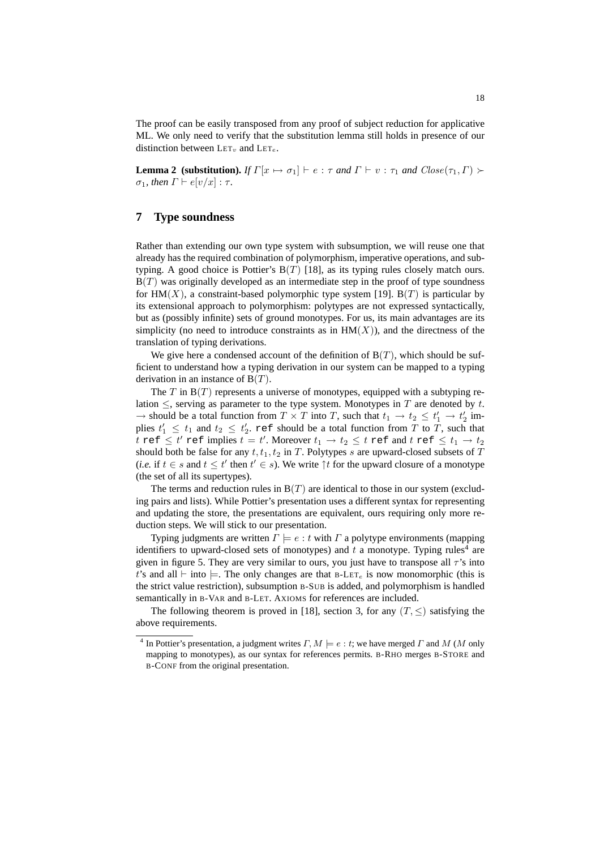The proof can be easily transposed from any proof of subject reduction for applicative ML. We only need to verify that the substitution lemma still holds in presence of our distinction between  $LET_v$  and  $LET_e$ .

**Lemma 2 (substitution).** *If*  $\Gamma[x \mapsto \sigma_1] \vdash e : \tau$  *and*  $\Gamma \vdash v : \tau_1$  *and*  $Close(\tau_1, \Gamma) \succ$  $\sigma_1$ *, then*  $\Gamma \vdash e[v/x] : \tau$ *.* 

### **7 Type soundness**

Rather than extending our own type system with subsumption, we will reuse one that already has the required combination of polymorphism, imperative operations, and subtyping. A good choice is Pottier's  $B(T)$  [18], as its typing rules closely match ours.  $B(T)$  was originally developed as an intermediate step in the proof of type soundness for HM(X), a constraint-based polymorphic type system [19].  $B(T)$  is particular by its extensional approach to polymorphism: polytypes are not expressed syntactically, but as (possibly infinite) sets of ground monotypes. For us, its main advantages are its simplicity (no need to introduce constraints as in  $HM(X)$ ), and the directness of the translation of typing derivations.

We give here a condensed account of the definition of  $B(T)$ , which should be sufficient to understand how a typing derivation in our system can be mapped to a typing derivation in an instance of  $B(T)$ .

The T in  $B(T)$  represents a universe of monotypes, equipped with a subtyping relation  $\le$ , serving as parameter to the type system. Monotypes in T are denoted by t.  $\rightarrow$  should be a total function from  $T \times T$  into T, such that  $t_1 \rightarrow t_2 \leq t'_1 \rightarrow t'_2$  implies  $t'_1 \leq t_1$  and  $t_2 \leq t'_2$ . ref should be a total function from T to T, such that  $t$  ref  $\leq t'$  ref implies  $t = t'$ . Moreover  $t_1 \to t_2 \leq t$  ref and  $t$  ref  $\leq t_1 \to t_2$ should both be false for any  $t, t_1, t_2$  in T. Polytypes s are upward-closed subsets of T (*i.e.* if  $t \in s$  and  $t \leq t'$  then  $t' \in s$ ). We write  $\uparrow t$  for the upward closure of a monotype (the set of all its supertypes).

The terms and reduction rules in  $B(T)$  are identical to those in our system (excluding pairs and lists). While Pottier's presentation uses a different syntax for representing and updating the store, the presentations are equivalent, ours requiring only more reduction steps. We will stick to our presentation.

Typing judgments are written  $\Gamma \models e : t$  with  $\Gamma$  a polytype environments (mapping identifiers to upward-closed sets of monotypes) and  $t$  a monotype. Typing rules<sup>4</sup> are given in figure 5. They are very similar to ours, you just have to transpose all  $\tau$ 's into t's and all  $\vdash$  into  $\models$ . The only changes are that B-LET<sub>e</sub> is now monomorphic (this is the strict value restriction), subsumption B-SUB is added, and polymorphism is handled semantically in B-VAR and B-LET. AXIOMS for references are included.

The following theorem is proved in [18], section 3, for any  $(T, \leq)$  satisfying the above requirements.

<sup>&</sup>lt;sup>4</sup> In Pottier's presentation, a judgment writes  $\Gamma, M \models e : t$ ; we have merged  $\Gamma$  and  $M$  (M only mapping to monotypes), as our syntax for references permits. B-RHO merges B-STORE and B-CONF from the original presentation.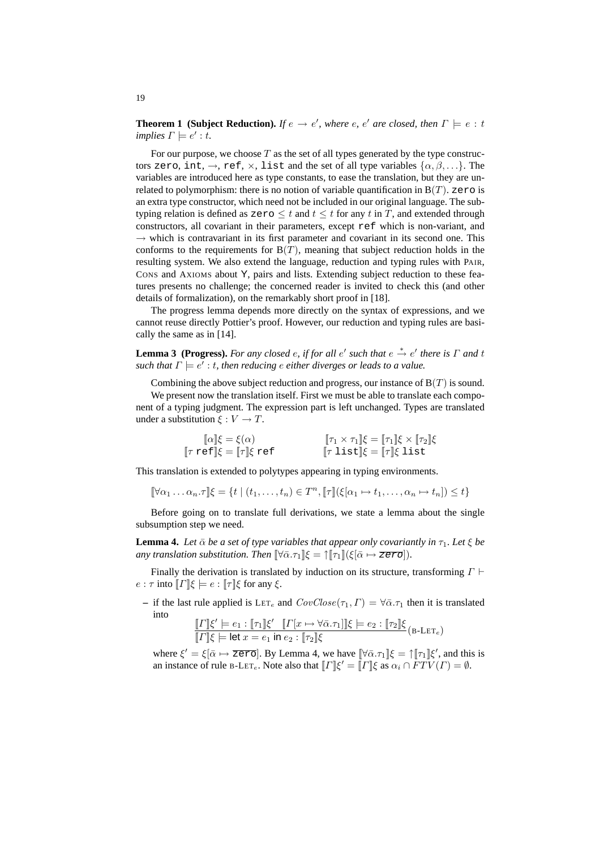**Theorem 1 (Subject Reduction).** *If*  $e \rightarrow e'$ , where  $e$ ,  $e'$  are closed, then  $\Gamma \models e : t$  $implies \Gamma \models e' : t.$ 

For our purpose, we choose  $T$  as the set of all types generated by the type constructors zero, int,  $\rightarrow$ , ref,  $\times$ , list and the set of all type variables  $\{\alpha, \beta, \ldots\}$ . The variables are introduced here as type constants, to ease the translation, but they are unrelated to polymorphism: there is no notion of variable quantification in  $B(T)$ . zero is an extra type constructor, which need not be included in our original language. The subtyping relation is defined as zero  $\leq t$  and  $t \leq t$  for any t in T, and extended through constructors, all covariant in their parameters, except ref which is non-variant, and  $\rightarrow$  which is contravariant in its first parameter and covariant in its second one. This conforms to the requirements for  $B(T)$ , meaning that subject reduction holds in the resulting system. We also extend the language, reduction and typing rules with PAIR, CONS and AXIOMS about Y, pairs and lists. Extending subject reduction to these features presents no challenge; the concerned reader is invited to check this (and other details of formalization), on the remarkably short proof in [18].

The progress lemma depends more directly on the syntax of expressions, and we cannot reuse directly Pottier's proof. However, our reduction and typing rules are basically the same as in [14].

**Lemma 3 (Progress).** For any closed e, if for all e' such that  $e \stackrel{*}{\rightarrow} e'$  there is  $\Gamma$  and  $t$  $\mathit{such that}\ \Gamma \models e':\ t,\ \mathit{then reducing}\ e\ \mathit{either}\ \mathit{diverges}\ or\ \mathit{leads}\ to\ a\ \mathit{value}.$ 

Combining the above subject reduction and progress, our instance of  $B(T)$  is sound.

We present now the translation itself. First we must be able to translate each component of a typing judgment. The expression part is left unchanged. Types are translated under a substitution  $\xi: V \to T$ .

$$
\begin{aligned}\n\lbrack \alpha \rbrack \xi &= \xi(\alpha) & \qquad \qquad \lbrack \lbrack \tau_1 \times \tau_1 \rbrack \xi &= \lbrack \lbrack \tau_1 \rbrack \xi \times \lbrack \lbrack \tau_2 \rbrack \xi \\
\lbrack \tau \text{ list} \xi &= \lbrack \tau \rbrack \xi \text{ list}\n\end{aligned}
$$

This translation is extended to polytypes appearing in typing environments.

$$
[\![\forall \alpha_1 \ldots \alpha_n . \tau]\!] \xi = \{ t \mid (t_1, \ldots, t_n) \in T^n, [\![\tau]\!] (\xi[\alpha_1 \mapsto t_1, \ldots, \alpha_n \mapsto t_n]) \leq t \}
$$

Before going on to translate full derivations, we state a lemma about the single subsumption step we need.

**Lemma 4.** *Let*  $\bar{\alpha}$  *be a set of type variables that appear only covariantly in*  $\tau_1$ *. Let*  $\xi$  *be any translation substitution. Then*  $[\forall \bar{\alpha}.\tau_1] \xi = \hat{\Pi}[\tau_1](\xi[\bar{\alpha} \mapsto \overline{zero}]).$ 

Finally the derivation is translated by induction on its structure, transforming  $\Gamma \vdash$  $e : \tau$  into  $\llbracket \Gamma \rrbracket \xi \models e : \llbracket \tau \rrbracket \xi$  for any  $\xi$ .

– if the last rule applied is  $LET_e$  and  $CovClose(\tau_1, \Gamma) = \forall \bar{\alpha}.\tau_1$  then it is translated into  $\prime$  $\overline{y}$   $\overline{y}$   $\overline{z}$   $=$  1] $\overline{z}$  | $\overline{z}$   $=$   $\overline{z}$   $=$  1] $\overline{z}$ 

$$
\frac{[\![\Gamma]\!] \xi' \models e_1 : [\![\tau_1]\!] \xi' \quad [\![\Gamma[x \mapsto \forall \bar{\alpha}.\tau_1]\!] \xi \models e_2 : [\![\tau_2]\!] \xi}{[\![\Gamma]\!] \xi \models \mathsf{let} \ x = e_1 \ \mathsf{in} \ e_2 : [\![\tau_2]\!] \xi} \big( \text{B-LET}_e \big)
$$

where  $\xi' = \xi[\bar{\alpha} \mapsto \overline{zero}]$ . By Lemma 4, we have  $[\![\forall \bar{\alpha} \cdot \tau_1]\!] \xi = [\![\tau_1]\!] \xi'$ , and this is an instance of rule B-LET<sub>e</sub>. Note also that  $[[\Gamma]]\xi' = [[\Gamma]]\xi$  as  $\alpha_i \cap FTV(\Gamma) = \emptyset$ .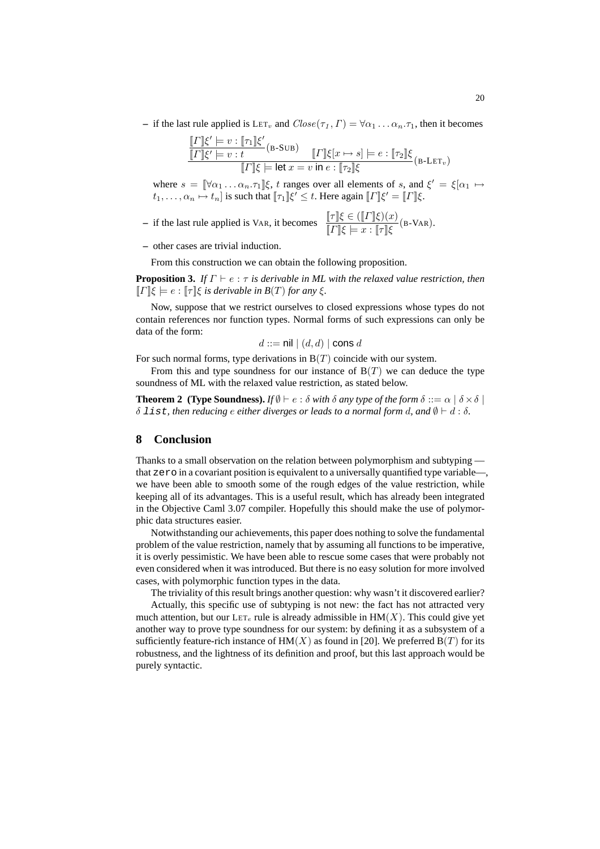**–** if the last rule applied is  $LET_v$  and  $Close(\tau_1, \Gamma) = \forall \alpha_1 \dots \alpha_n.\tau_1$ , then it becomes

$$
\frac{[\![\Gamma]\!] \xi' \models v : [\![\tau_1]\!] \xi'}{[\![\Gamma]\!] \xi' \models v : t} \quad (\text{B-SUB}) \quad [\![\Gamma]\!] \xi[x \mapsto s] \models e : [\![\tau_2]\!] \xi}{[\![\Gamma]\!] \xi \models \text{let } x = v \text{ in } e : [\![\tau_2]\!] \xi} \quad (\text{B-LET}_v)
$$

where  $s = [\![\forall \alpha_1 \dots \alpha_n \cdot \tau_1]\!] \xi$ , t ranges over all elements of s, and  $\xi' = \xi[\alpha_1 \mapsto \xi]$  $t_1, \ldots, \alpha_n \mapsto t_n$ ] is such that  $[\![\tau_1]\!] \xi' \leq t$ . Here again  $[\![\Gamma]\!] \xi' = [\![\Gamma]\!] \xi$ .

**–** if the last rule applied is VAR, it becomes  $\frac{[\![\tau]\!] \xi \in (\llbracket \Gamma \rrbracket \xi)(x)}{\llbracket \Gamma \rrbracket \xi \models x : \llbracket \tau \rrbracket \xi}$  (B-VAR).

**–** other cases are trivial induction.

From this construction we can obtain the following proposition.

**Proposition 3.** *If*  $\Gamma \vdash e : \tau$  *is derivable in ML with the relaxed value restriction, then*  $\llbracket \Gamma \rrbracket \xi \models e : \llbracket \tau \rrbracket \xi$  *is derivable in B(T) for any*  $\xi$ *.* 

Now, suppose that we restrict ourselves to closed expressions whose types do not contain references nor function types. Normal forms of such expressions can only be data of the form:

$$
d ::= \mathsf{nil} \mid (d, d) \mid \mathsf{cons}\, d
$$

For such normal forms, type derivations in  $B(T)$  coincide with our system.

From this and type soundness for our instance of  $B(T)$  we can deduce the type soundness of ML with the relaxed value restriction, as stated below.

**Theorem 2 (Type Soundness).** *If*  $\emptyset \vdash e : \delta$  *with*  $\delta$  *any type of the form*  $\delta ::= \alpha \mid \delta \times \delta \mid$ δ list, then reducing *e* either diverges or leads to a normal form d, and  $\emptyset \vdash d : \delta$ .

## **8 Conclusion**

Thanks to a small observation on the relation between polymorphism and subtyping that zero in a covariant position is equivalent to a universally quantified type variable—, we have been able to smooth some of the rough edges of the value restriction, while keeping all of its advantages. This is a useful result, which has already been integrated in the Objective Caml 3.07 compiler. Hopefully this should make the use of polymorphic data structures easier.

Notwithstanding our achievements, this paper does nothing to solve the fundamental problem of the value restriction, namely that by assuming all functions to be imperative, it is overly pessimistic. We have been able to rescue some cases that were probably not even considered when it was introduced. But there is no easy solution for more involved cases, with polymorphic function types in the data.

The triviality of this result brings another question: why wasn't it discovered earlier? Actually, this specific use of subtyping is not new: the fact has not attracted very much attention, but our LET<sub>e</sub> rule is already admissible in  $HM(X)$ . This could give yet another way to prove type soundness for our system: by defining it as a subsystem of a sufficiently feature-rich instance of  $HM(X)$  as found in [20]. We preferred  $B(T)$  for its robustness, and the lightness of its definition and proof, but this last approach would be purely syntactic.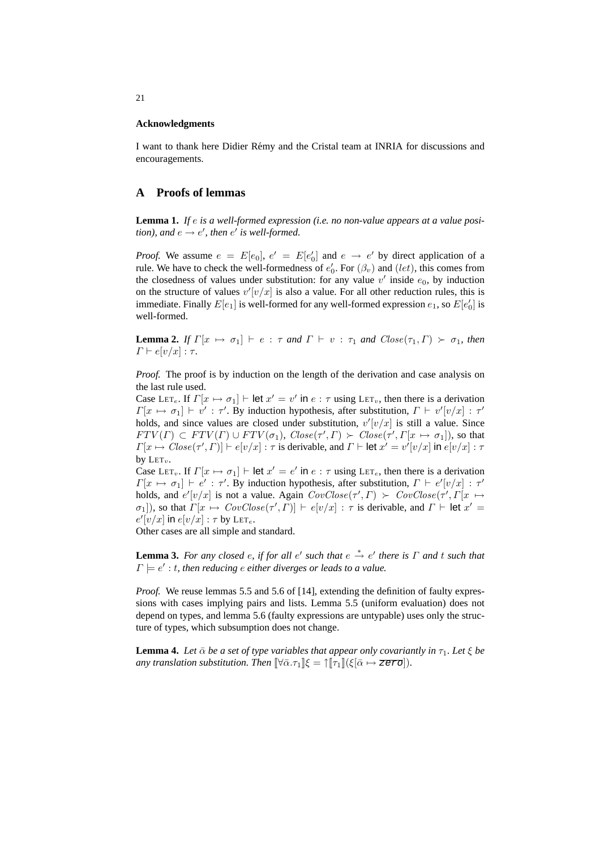#### **Acknowledgments**

I want to thank here Didier Remy and the Cristal team at INRIA for discussions and ´ encouragements.

### **A Proofs of lemmas**

**Lemma 1.** *If* e *is a well-formed expression (i.e. no non-value appears at a value position*), and  $e \rightarrow e'$ , then  $e'$  is well-formed.

*Proof.* We assume  $e = E[e_0], e' = E[e'_0]$  and  $e \rightarrow e'$  by direct application of a rule. We have to check the well-formedness of  $e'_{0}$ . For  $(\beta_{v})$  and  $(left)$ , this comes from the closedness of values under substitution: for any value  $v'$  inside  $e_0$ , by induction on the structure of values  $v'[v/x]$  is also a value. For all other reduction rules, this is immediate. Finally  $E[e_1]$  is well-formed for any well-formed expression  $e_1$ , so  $E[e'_0]$  is well-formed.

**Lemma 2.** *If*  $\Gamma[x \mapsto \sigma_1] \vdash e : \tau$  *and*  $\Gamma \vdash v : \tau_1$  *and*  $Close(\tau_1, \Gamma) \succ \sigma_1$ *, then*  $\Gamma \vdash e[v/x] : \tau.$ 

*Proof.* The proof is by induction on the length of the derivation and case analysis on the last rule used.

Case LET<sub>e</sub>. If  $\Gamma[x \mapsto \sigma_1]$   $\vdash$  let  $x' = v'$  in  $e : \tau$  using LET<sub>v</sub>, then there is a derivation  $\Gamma[x \mapsto \sigma_1] \vdash v' : \tau'.$  By induction hypothesis, after substitution,  $\Gamma \vdash v'[v/x] : \tau'$ holds, and since values are closed under substitution,  $v'[v/x]$  is still a value. Since  $FTV(\Gamma) \subset FTV(\Gamma) \cup FTV(\sigma_1), \; Close(\tau', \Gamma) \succ \; Close(\tau', \Gamma[x \mapsto \sigma_1]),$  so that  $\Gamma[x \mapsto Close(\tau', \Gamma)] \vdash e[v/x] : \tau$  is derivable, and  $\Gamma \vdash$  let  $x' = v'[v/x]$  in  $e[v/x] : \tau$ by  $LET_v$ .

Case LET<sub>v</sub>. If  $\Gamma[x \mapsto \sigma_1]$   $\vdash$  let  $x' = e'$  in  $e : \tau$  using LET<sub>e</sub>, then there is a derivation  $\Gamma[x \mapsto \sigma_1] \vdash e' : \tau'.$  By induction hypothesis, after substitution,  $\Gamma \vdash e'[v/x] : \tau'$ holds, and  $e'[v/x]$  is not a value. Again  $CovClose(\tau', \Gamma) \succ CovClose(\tau', \Gamma[x \mapsto$  $\sigma_1$ ]), so that  $\Gamma[x \mapsto CovClose(\tau', \Gamma')] \vdash e[v/x] : \tau$  is derivable, and  $\Gamma \vdash$  let  $x' =$  $e'[v/x]$  in  $e[v/x] : \tau$  by LET $_e$ .

Other cases are all simple and standard.

**Lemma 3.** For any closed e, if for all  $e'$  such that  $e \stackrel{*}{\rightarrow} e'$  there is  $\Gamma$  and t such that  $\Gamma \models e^t : t$ , then reducing e either diverges or leads to a value.

*Proof.* We reuse lemmas 5.5 and 5.6 of [14], extending the definition of faulty expressions with cases implying pairs and lists. Lemma 5.5 (uniform evaluation) does not depend on types, and lemma 5.6 (faulty expressions are untypable) uses only the structure of types, which subsumption does not change.

**Lemma 4.** *Let*  $\bar{\alpha}$  *be a set of type variables that appear only covariantly in*  $\tau_1$ *. Let*  $\xi$  *be any translation substitution. Then*  $[\forall \bar{\alpha}.\tau_1] \xi = \hat{\tau} [\tau_1] (\xi[\bar{\alpha} \mapsto \overline{zero}]).$